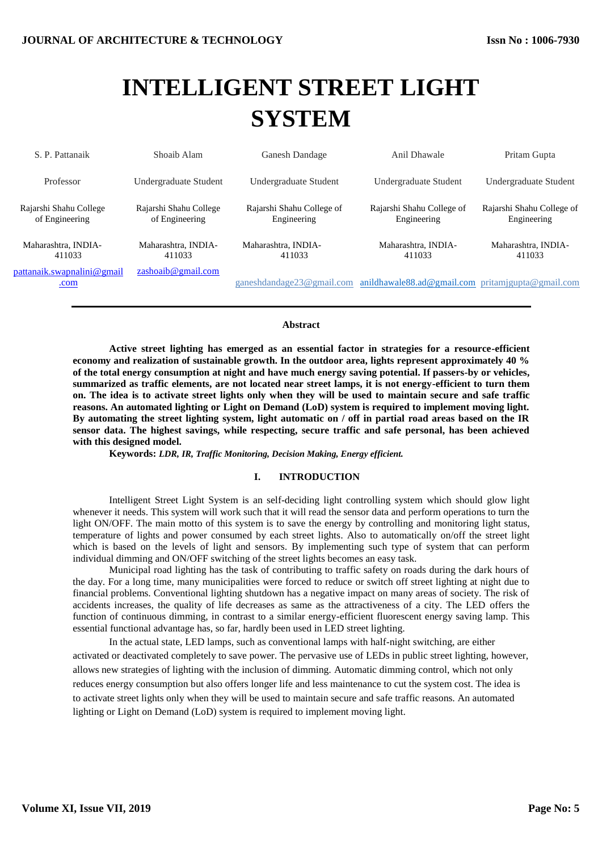# **INTELLIGENT STREET LIGHT SYSTEM**

| S. P. Pattanaik                          | Shoaib Alam                              | Ganesh Dandage                           | Anil Dhawale                                      | Pritam Gupta                             |
|------------------------------------------|------------------------------------------|------------------------------------------|---------------------------------------------------|------------------------------------------|
| Professor                                | Undergraduate Student                    | Undergraduate Student                    | Undergraduate Student                             | Undergraduate Student                    |
| Rajarshi Shahu College<br>of Engineering | Rajarshi Shahu College<br>of Engineering | Rajarshi Shahu College of<br>Engineering | Rajarshi Shahu College of<br>Engineering          | Rajarshi Shahu College of<br>Engineering |
| Maharashtra, INDIA-<br>411033            | Maharashtra, INDIA-<br>411033            | Maharashtra, INDIA-<br>411033            | Maharashtra, INDIA-<br>411033                     | Maharashtra, INDIA-<br>411033            |
| pattanaik.swapnalini@gmail<br>.com       | zashoaib@gmail.com                       | ganeshdandage23@gmail.com                | anildhawale88.ad@gmail.com pritamjgupta@gmail.com |                                          |

## **Abstract**

**Active street lighting has emerged as an essential factor in strategies for a resource-efficient economy and realization of sustainable growth. In the outdoor area, lights represent approximately 40 % of the total energy consumption at night and have much energy saving potential. If passers-by or vehicles, summarized as traffic elements, are not located near street lamps, it is not energy-efficient to turn them on. The idea is to activate street lights only when they will be used to maintain secure and safe traffic reasons. An automated lighting or Light on Demand (LoD) system is required to implement moving light. By automating the street lighting system, light automatic on / off in partial road areas based on the IR sensor data. The highest savings, while respecting, secure traffic and safe personal, has been achieved with this designed model.** 

**Keywords:** *LDR, IR, Traffic Monitoring, Decision Making, Energy efficient.*

# **I. INTRODUCTION**

Intelligent Street Light System is an self-deciding light controlling system which should glow light whenever it needs. This system will work such that it will read the sensor data and perform operations to turn the light ON/OFF. The main motto of this system is to save the energy by controlling and monitoring light status, temperature of lights and power consumed by each street lights. Also to automatically on/off the street light which is based on the levels of light and sensors. By implementing such type of system that can perform individual dimming and ON/OFF switching of the street lights becomes an easy task.

Municipal road lighting has the task of contributing to traffic safety on roads during the dark hours of the day. For a long time, many municipalities were forced to reduce or switch off street lighting at night due to financial problems. Conventional lighting shutdown has a negative impact on many areas of society. The risk of accidents increases, the quality of life decreases as same as the attractiveness of a city. The LED offers the function of continuous dimming, in contrast to a similar energy-efficient fluorescent energy saving lamp. This essential functional advantage has, so far, hardly been used in LED street lighting.

In the actual state, LED lamps, such as conventional lamps with half-night switching, are either activated or deactivated completely to save power. The pervasive use of LEDs in public street lighting, however, allows new strategies of lighting with the inclusion of dimming. Automatic dimming control, which not only reduces energy consumption but also offers longer life and less maintenance to cut the system cost. The idea is to activate street lights only when they will be used to maintain secure and safe traffic reasons. An automated lighting or Light on Demand (LoD) system is required to implement moving light.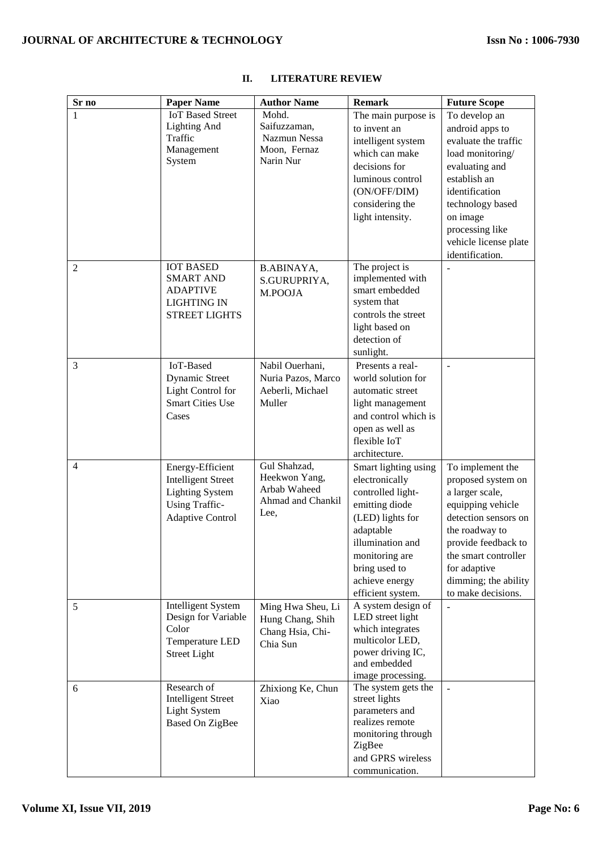| Sr no          | <b>Paper Name</b>         | <b>Author Name</b> | <b>Remark</b>                     | <b>Future Scope</b>   |
|----------------|---------------------------|--------------------|-----------------------------------|-----------------------|
| $\mathbf{1}$   | <b>IoT Based Street</b>   | Mohd.              | The main purpose is               | To develop an         |
|                | <b>Lighting And</b>       | Saifuzzaman,       | to invent an                      | android apps to       |
|                | Traffic                   | Nazmun Nessa       | intelligent system                | evaluate the traffic  |
|                | Management                | Moon, Fernaz       | which can make                    | load monitoring/      |
|                | System                    | Narin Nur          | decisions for                     | evaluating and        |
|                |                           |                    | luminous control                  | establish an          |
|                |                           |                    | (ON/OFF/DIM)                      | identification        |
|                |                           |                    | considering the                   | technology based      |
|                |                           |                    | light intensity.                  | on image              |
|                |                           |                    |                                   | processing like       |
|                |                           |                    |                                   | vehicle license plate |
|                |                           |                    |                                   | identification.       |
| $\overline{2}$ | <b>IOT BASED</b>          | B.ABINAYA,         | The project is                    |                       |
|                | <b>SMART AND</b>          | S.GURUPRIYA,       | implemented with                  |                       |
|                | <b>ADAPTIVE</b>           | M.POOJA            | smart embedded                    |                       |
|                | <b>LIGHTING IN</b>        |                    | system that                       |                       |
|                | <b>STREET LIGHTS</b>      |                    | controls the street               |                       |
|                |                           |                    | light based on                    |                       |
|                |                           |                    | detection of                      |                       |
|                |                           |                    | sunlight.                         |                       |
| 3              | IoT-Based                 | Nabil Ouerhani,    | Presents a real-                  |                       |
|                | Dynamic Street            | Nuria Pazos, Marco | world solution for                |                       |
|                | Light Control for         | Aeberli, Michael   | automatic street                  |                       |
|                | <b>Smart Cities Use</b>   | Muller             | light management                  |                       |
|                | Cases                     |                    | and control which is              |                       |
|                |                           |                    | open as well as                   |                       |
|                |                           |                    | flexible IoT                      |                       |
|                |                           |                    | architecture.                     |                       |
| $\overline{4}$ | Energy-Efficient          | Gul Shahzad,       | Smart lighting using              | To implement the      |
|                | <b>Intelligent Street</b> | Heekwon Yang,      | electronically                    | proposed system on    |
|                | <b>Lighting System</b>    | Arbab Waheed       | controlled light-                 | a larger scale,       |
|                | <b>Using Traffic-</b>     | Ahmad and Chankil  | emitting diode                    | equipping vehicle     |
|                | <b>Adaptive Control</b>   | Lee,               | (LED) lights for                  | detection sensors on  |
|                |                           |                    | adaptable                         | the roadway to        |
|                |                           |                    | illumination and                  | provide feedback to   |
|                |                           |                    | monitoring are                    | the smart controller  |
|                |                           |                    | bring used to                     | for adaptive          |
|                |                           |                    | achieve energy                    | dimming; the ability  |
|                |                           |                    | efficient system.                 | to make decisions.    |
| 5              | <b>Intelligent System</b> | Ming Hwa Sheu, Li  | A system design of                |                       |
|                | Design for Variable       | Hung Chang, Shih   | LED street light                  |                       |
|                | Color                     | Chang Hsia, Chi-   | which integrates                  |                       |
|                | Temperature LED           | Chia Sun           | multicolor LED,                   |                       |
|                | <b>Street Light</b>       |                    | power driving IC,<br>and embedded |                       |
|                |                           |                    | image processing.                 |                       |
| 6              | Research of               | Zhixiong Ke, Chun  | The system gets the               |                       |
|                | <b>Intelligent Street</b> | Xiao               | street lights                     |                       |
|                | <b>Light System</b>       |                    | parameters and                    |                       |
|                | <b>Based On ZigBee</b>    |                    | realizes remote                   |                       |
|                |                           |                    | monitoring through                |                       |
|                |                           |                    | ZigBee                            |                       |
|                |                           |                    | and GPRS wireless                 |                       |
|                |                           |                    | communication.                    |                       |

# **II. LITERATURE REVIEW**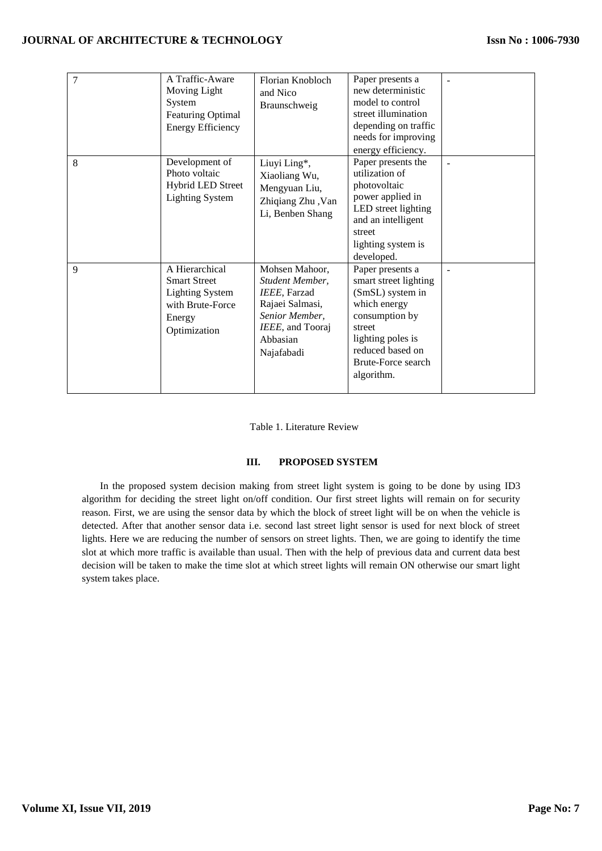| $\overline{7}$ | A Traffic-Aware<br>Moving Light<br>System<br><b>Featuring Optimal</b><br><b>Energy Efficiency</b>             | Florian Knobloch<br>and Nico<br>Braunschweig                                                                                         | Paper presents a<br>new deterministic<br>model to control<br>street illumination<br>depending on traffic<br>needs for improving<br>energy efficiency.                                  |  |
|----------------|---------------------------------------------------------------------------------------------------------------|--------------------------------------------------------------------------------------------------------------------------------------|----------------------------------------------------------------------------------------------------------------------------------------------------------------------------------------|--|
| 8              | Development of<br>Photo voltaic<br>Hybrid LED Street<br><b>Lighting System</b>                                | Liuyi Ling*,<br>Xiaoliang Wu,<br>Mengyuan Liu,<br>Zhiqiang Zhu, Van<br>Li, Benben Shang                                              | Paper presents the<br>utilization of<br>photovoltaic<br>power applied in<br>LED street lighting<br>and an intelligent<br>street<br>lighting system is<br>developed.                    |  |
| 9              | A Hierarchical<br><b>Smart Street</b><br><b>Lighting System</b><br>with Brute-Force<br>Energy<br>Optimization | Mohsen Mahoor,<br>Student Member.<br>IEEE, Farzad<br>Rajaei Salmasi,<br>Senior Member,<br>IEEE, and Tooraj<br>Abbasian<br>Najafabadi | Paper presents a<br>smart street lighting<br>(SmSL) system in<br>which energy<br>consumption by<br>street<br>lighting poles is<br>reduced based on<br>Brute-Force search<br>algorithm. |  |

Table 1. Literature Review

# **III. PROPOSED SYSTEM**

In the proposed system decision making from street light system is going to be done by using ID3 algorithm for deciding the street light on/off condition. Our first street lights will remain on for security reason. First, we are using the sensor data by which the block of street light will be on when the vehicle is detected. After that another sensor data i.e. second last street light sensor is used for next block of street lights. Here we are reducing the number of sensors on street lights. Then, we are going to identify the time slot at which more traffic is available than usual. Then with the help of previous data and current data best decision will be taken to make the time slot at which street lights will remain ON otherwise our smart light system takes place.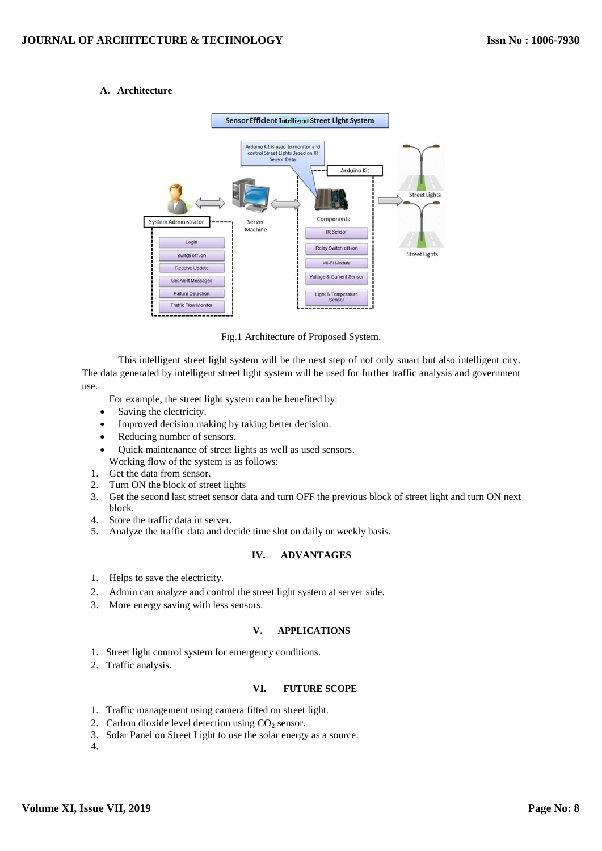# **A. Architecture**



Fig.1 Architecture of Proposed System.

This intelligent street light system will be the next step of not only smart but also intelligent city. The data generated by intelligent street light system will be used for further traffic analysis and government use.

For example, the street light system can be benefited by:

- Saving the electricity.
- Improved decision making by taking better decision.
- Reducing number of sensors.
- Quick maintenance of street lights as well as used sensors. Working flow of the system is as follows:
- 1. Get the data from sensor.
- 2. Turn ON the block of street lights
- 3. Get the second last street sensor data and turn OFF the previous block of street light and turn ON next block.
- 4. Store the traffic data in server.
- 5. Analyze the traffic data and decide time slot on daily or weekly basis.

#### **IV. ADVANTAGES**

- 1. Helps to save the electricity.
- 2. Admin can analyze and control the street light system at server side.
- 3. More energy saving with less sensors.

#### **V. APPLICATIONS**

- 1. Street light control system for emergency conditions.
- 2. Traffic analysis.

# **VI. FUTURE SCOPE**

- 1. Traffic management using camera fitted on street light.
- 2. Carbon dioxide level detection using  $CO<sub>2</sub>$  sensor.
- 3. Solar Panel on Street Light to use the solar energy as a source.

4.